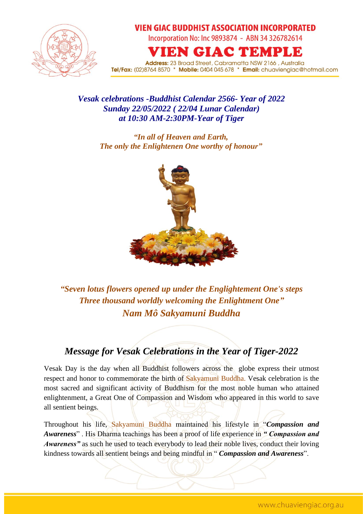

## **VIEN GIAC BUDDHIST ASSOCIATION INCORPORATED**

Incorporation No: Inc 9893874 - ABN 34 326782614

IEN GIAC TEMPLE

**Address:** 23 Broad Street, Cabramatta NSW 2166, Australia Tel/Fax: (02)8764 8570 \* Mobile: 0404 045 678 \* Email: chuaviengiac@hotmail.com

## *Vesak celebrations -Buddhist Calendar 2566- Year of 2022 Sunday 22/05/2022 ( 22/04 Lunar Calendar) at 10:30 AM-2:30PM-Year of Tiger*

*"In all of Heaven and Earth, The only the Enlightenen One worthy of honour"*



*"Seven lotus flowers opened up under the Englightement One's steps Three thousand worldly welcoming the Enlightment One" Nam Mô Sakyamuni Buddha*

## *Message for Vesak Celebrations in the Year of Tiger-2022*

Vesak Day is the day when all Buddhist followers across the globe express their utmost respect and honor to commemorate the birth of Sakyamuni Buddha. Vesak celebration is the most sacred and significant activity of Buddhism for the most noble human who attained enlightenment, a Great One of Compassion and Wisdom who appeared in this world to save all sentient beings.

Throughout his life, Sakyamuni Buddha maintained his lifestyle in "*Compassion and Awareness*" . His Dharma teachings has been a proof of life experience in *" Compassion and Awareness"* as such he used to teach everybody to lead their noble lives, conduct their loving kindness towards all sentient beings and being mindful in " *Compassion and Awareness*".